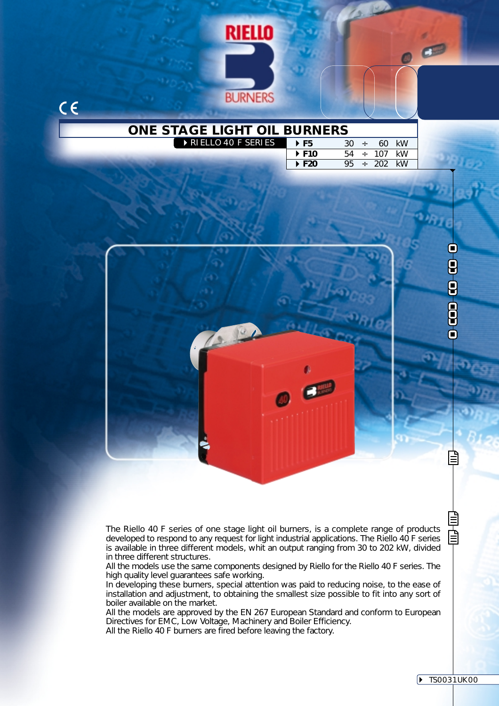

The Riello 40 F series of one stage light oil burners, is a complete range of products developed to respond to any request for light industrial applications. The Riello 40 F series is available in three different models, whit an output ranging from 30 to 202 kW, divided in three different structures.

All the models use the same components designed by Riello for the Riello 40 F series. The high quality level guarantees safe working.

In developing these burners, special attention was paid to reducing noise, to the ease of installation and adjustment, to obtaining the smallest size possible to fit into any sort of boiler available on the market.

All the models are approved by the EN 267 European Standard and conform to European Directives for EMC, Low Voltage, Machinery and Boiler Efficiency.

All the Riello 40 F burners are fired before leaving the factory.

窅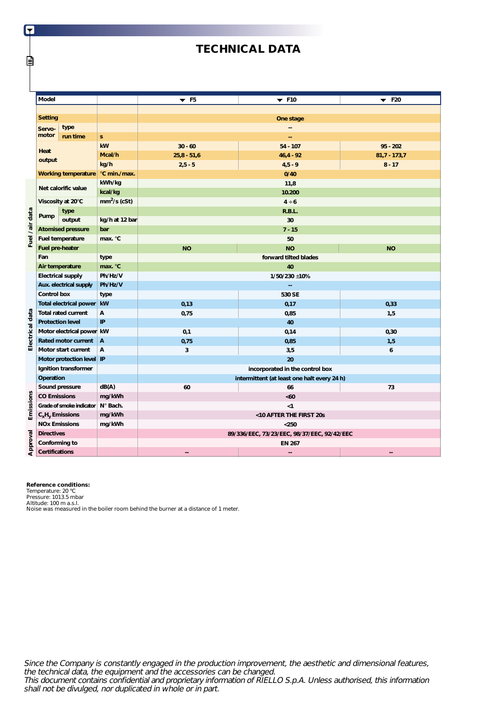# **TECHNICAL DATA**

|                 | Model                          |                                            |                | $\blacktriangledown$ F5         | $\blacktriangledown$ F10                    | $\blacktriangledown$ F20 |  |  |  |
|-----------------|--------------------------------|--------------------------------------------|----------------|---------------------------------|---------------------------------------------|--------------------------|--|--|--|
|                 |                                |                                            |                |                                 |                                             |                          |  |  |  |
|                 | <b>Setting</b>                 |                                            |                | One stage                       |                                             |                          |  |  |  |
|                 | Servo-                         | type                                       |                | --                              |                                             |                          |  |  |  |
|                 | motor                          | run time                                   | $\mathbf{s}$   |                                 |                                             |                          |  |  |  |
|                 |                                |                                            | kW             | $30 - 60$                       | $54 - 107$                                  | $95 - 202$               |  |  |  |
|                 | Heat                           |                                            | Mcal/h         | $25,8 - 51,6$                   | $46,4 - 92$                                 | $81,7 - 173,7$           |  |  |  |
|                 | output                         |                                            | kg/h           | $2, 5 - 5$                      | $4,5 - 9$                                   | $8 - 17$                 |  |  |  |
|                 |                                | °C min./max.<br><b>Working temperature</b> |                | 0/40                            |                                             |                          |  |  |  |
|                 | kWh/kg<br>Net calorific value  |                                            |                |                                 | 11,8                                        |                          |  |  |  |
|                 |                                |                                            | kcal/kg        |                                 | 10.200                                      |                          |  |  |  |
|                 |                                | Viscosity at 20°C                          | $mm2/s$ (cSt)  |                                 | $4 \div 6$                                  |                          |  |  |  |
|                 |                                | type                                       |                |                                 | R.B.L.                                      |                          |  |  |  |
|                 | Pump                           | output                                     | kg/h at 12 bar |                                 | 30                                          |                          |  |  |  |
|                 |                                | <b>Atomised pressure</b>                   | bar            |                                 | $7 - 15$                                    |                          |  |  |  |
| Fuel / air data |                                | Fuel temperature                           | max. °C        |                                 | 50                                          |                          |  |  |  |
|                 | Fuel pre-heater                |                                            |                | <b>NO</b>                       | <b>NO</b>                                   | <b>NO</b>                |  |  |  |
|                 | Fan<br>type                    |                                            |                | forward tilted blades           |                                             |                          |  |  |  |
|                 | Air temperature                |                                            | max. °C        | 40                              |                                             |                          |  |  |  |
|                 | <b>Electrical supply</b>       |                                            | Ph/Hz/V        | 1/50/230 ±10%                   |                                             |                          |  |  |  |
|                 | Aux. electrical supply         |                                            | Ph/Hz/V        | --                              |                                             |                          |  |  |  |
|                 | <b>Control box</b>             |                                            | type           |                                 | 530 SE                                      |                          |  |  |  |
|                 |                                | <b>Total electrical power</b>              | kW             | 0,13                            | 0,17                                        | 0,33                     |  |  |  |
|                 |                                | <b>Total rated current</b>                 | А              | 0,75                            | 0,85                                        | 1,5                      |  |  |  |
|                 | <b>Protection level</b>        |                                            | IP             |                                 | 40                                          |                          |  |  |  |
| Electrical data |                                | Motor electrical power kW                  |                | 0,1                             | 0,14                                        | 0,30                     |  |  |  |
|                 |                                | Rated motor current                        | $\overline{A}$ | 0,75                            | 0,85                                        | 1,5                      |  |  |  |
|                 |                                | Motor start current                        | А              | 3                               | 3,5                                         | 6                        |  |  |  |
|                 |                                | Motor protection level IP                  |                |                                 | 20                                          |                          |  |  |  |
|                 |                                | Ignition transformer                       |                | incorporated in the control box |                                             |                          |  |  |  |
|                 | Operation                      |                                            |                |                                 | intermittent (at least one halt every 24 h) |                          |  |  |  |
|                 |                                | Sound pressure                             | dB(A)          | 60                              | 66                                          | 73                       |  |  |  |
|                 | <b>CO Emissions</b>            |                                            | mg/kWh         |                                 | <60                                         |                          |  |  |  |
|                 | Grade of smoke indicator       |                                            | N° Bach.       |                                 | < 1                                         |                          |  |  |  |
| Emissions       | $C_xH_y$ Emissions             |                                            | mg/kWh         |                                 | <10 AFTER THE FIRST 20s                     |                          |  |  |  |
|                 | mg/kWh<br><b>NOx Emissions</b> |                                            |                |                                 | $250$                                       |                          |  |  |  |
|                 | <b>Directives</b>              |                                            |                |                                 | 89/336/EEC, 73/23/EEC, 98/37/EEC, 92/42/EEC |                          |  |  |  |
| Approval        | Conforming to                  |                                            |                |                                 | <b>EN 267</b>                               |                          |  |  |  |
|                 | <b>Certifications</b>          |                                            |                | --                              | ۵.                                          | --                       |  |  |  |

IT

lΞ

**Reference conditions:**<br>Temperature: 20 °C<br>Pressure: 1013.5 mbar<br>Altitude: 100 m a.s.l.<br>Altitude: 100 m a.s.l.

Since the Company is constantly engaged in the production improvement, the aesthetic and dimensional features, the technical data, the equipment and the accessories can be changed. This document contains confidential and proprietary information of RIELLO S.p.A. Unless authorised, this information shall not be divulged, nor duplicated in whole or in part.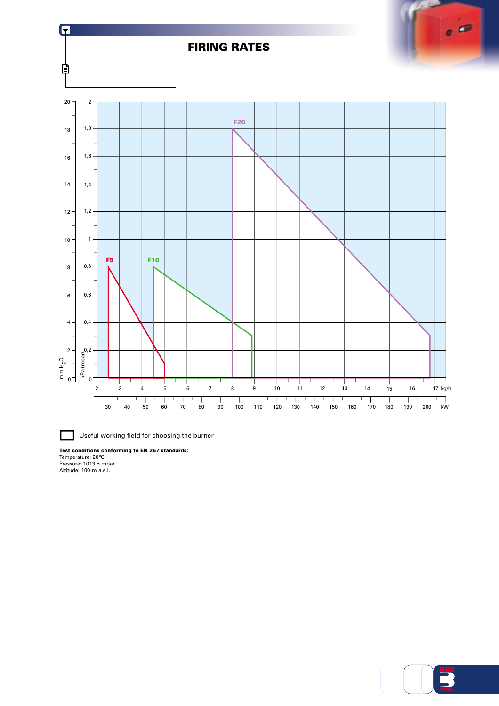

Useful working field for choosing the burner

**Test conditions conforming to EN 267 standards:<br>Temperature: 20°C<br>Pressure: 1013.5 mbar<br>Altitude: 100 m a.s.l.**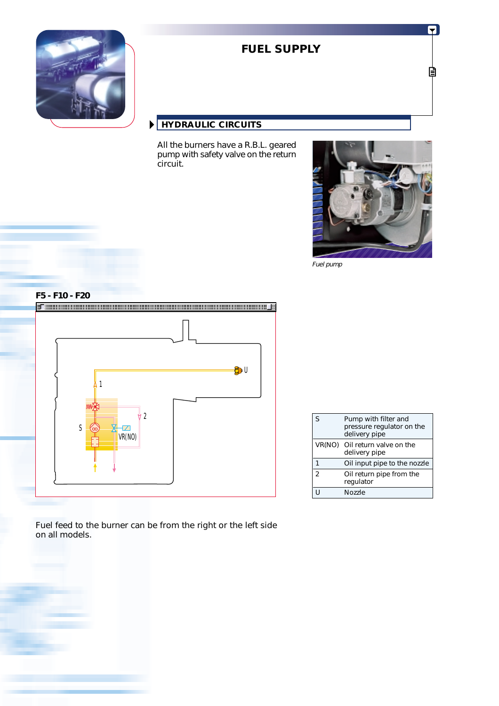

# **FUEL SUPPLY**

# **HYDRAULIC CIRCUITS**

All the burners have a R.B.L. geared pump with safety valve on the return circuit.



Fuel pump



| S              | Pump with filter and<br>pressure regulator on the<br>delivery pipe |
|----------------|--------------------------------------------------------------------|
|                | VR(NO) Oil return valve on the<br>delivery pipe                    |
|                | Oil input pipe to the nozzle                                       |
| $\mathfrak{p}$ | Oil return pipe from the<br>regulator                              |
|                | Nozzle                                                             |

Fuel feed to the burner can be from the right or the left side on all models.

5

自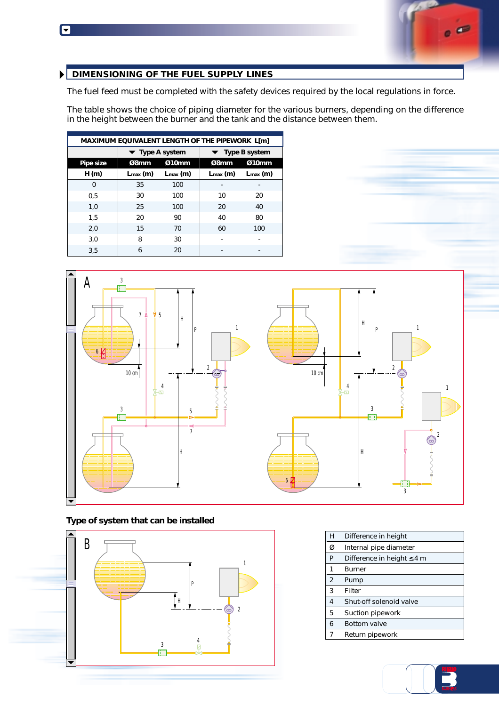F



## **DIMENSIONING OF THE FUEL SUPPLY LINES**

The fuel feed must be completed with the safety devices required by the local regulations in force.

The table shows the choice of piping diameter for the various burners, depending on the difference in the height between the burner and the tank and the distance between them.

| MAXIMUM EQUIVALENT LENGTH OF THE PIPEWORK L[m] |                                     |                      |                                     |                      |  |  |
|------------------------------------------------|-------------------------------------|----------------------|-------------------------------------|----------------------|--|--|
|                                                | $\blacktriangleright$ Type A system |                      | $\blacktriangleright$ Type B system |                      |  |  |
| Pipe size                                      | Ø8mm                                | Ø10mm                | Ø8mm                                | Ø10mm                |  |  |
| H(m)                                           | $L_{\text{max}}$ (m)                | $L_{\text{max}}$ (m) | $L_{\text{max}}$ (m)                | $L_{\text{max}}$ (m) |  |  |
| $\Omega$                                       | 35                                  | 100                  |                                     |                      |  |  |
| 0.5                                            | 30                                  | 100                  | 10                                  | 20                   |  |  |
| 1,0                                            | 25                                  | 100                  | 20                                  | 40                   |  |  |
| 1.5                                            | 20                                  | 90                   | 40                                  | 80                   |  |  |
| 2,0                                            | 15                                  | 70                   | 60                                  | 100                  |  |  |
| 3,0                                            | 8                                   | 30                   |                                     |                      |  |  |
| 3,5                                            | 6                                   | 20                   |                                     |                      |  |  |



**Type of system that can be installed**



| H | Difference in height            |
|---|---------------------------------|
| Ø | Internal pipe diameter          |
| P | Difference in height $\leq 4$ m |
| 1 | <b>Burner</b>                   |
| 2 | Pump                            |
| 3 | Filter                          |
| 4 | Shut-off solenoid valve         |
| 5 | Suction pipework                |
| 6 | <b>Bottom valve</b>             |
| 7 | Return pipework                 |

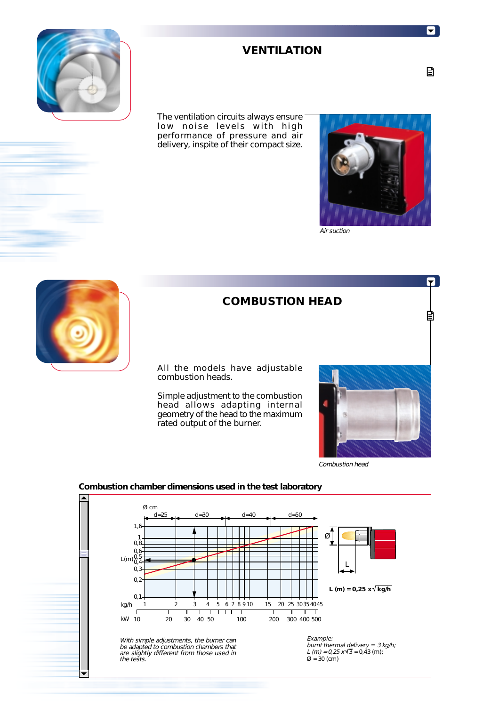

# **VENTILATION**

The ventilation circuits always ensure low noise levels with high performance of pressure and air delivery, inspite of their compact size.



Air suction



# **COMBUSTION HEAD**

All the models have adjustable combustion heads.

Simple adjustment to the combustion head allows adapting internal geometry of the head to the maximum rated output of the burner.



Combustion head



### **Combustion chamber dimensions used in the test laboratory**

 $\blacktriangledown$ 

目

П

目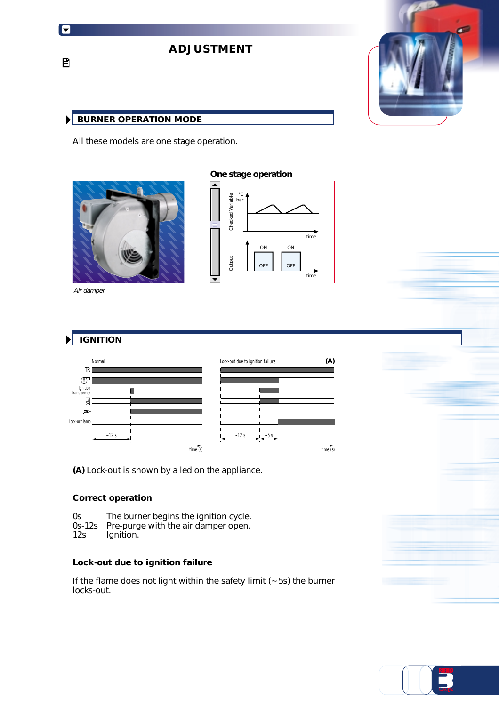

All these models are one stage operation.



Air damper

### **One stage operation**



### **IGNITION**  $\blacktriangleright$



**(A)** Lock-out is shown by a led on the appliance.

### **Correct operation**

- 0s The burner begins the ignition cycle.<br>0s-12s Pre-purge with the air damper open.
- Pre-purge with the air damper open.
- 12s Ignition.

### **Lock-out due to ignition failure**

If the flame does not light within the safety limit (~ 5s) the burner locks-out.



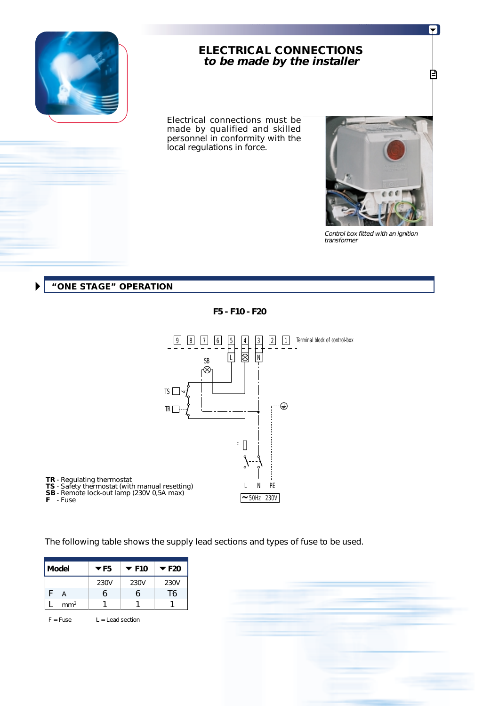

# **ELECTRICAL CONNECTIONS to be made by the installer**

Electrical connections must be made by qualified and skilled personnel in conformity with the local regulations in force.



5

₿

Control box fitted with an ignition transformer

### **"ONE STAGE" OPERATION**

**F5 - F10 - F20**



The following table shows the supply lead sections and types of fuse to be used.

| Model |                 | $\blacktriangledown$ F <sub>5</sub> | $\blacktriangledown$ F10 | $\blacktriangledown$ F20 |
|-------|-----------------|-------------------------------------|--------------------------|--------------------------|
|       |                 | 230V                                | 230V                     | 230V                     |
|       | А               | h                                   | h                        | T6                       |
|       | mm <sup>2</sup> |                                     |                          |                          |

 $F = Fuse$   $L =$  Lead section

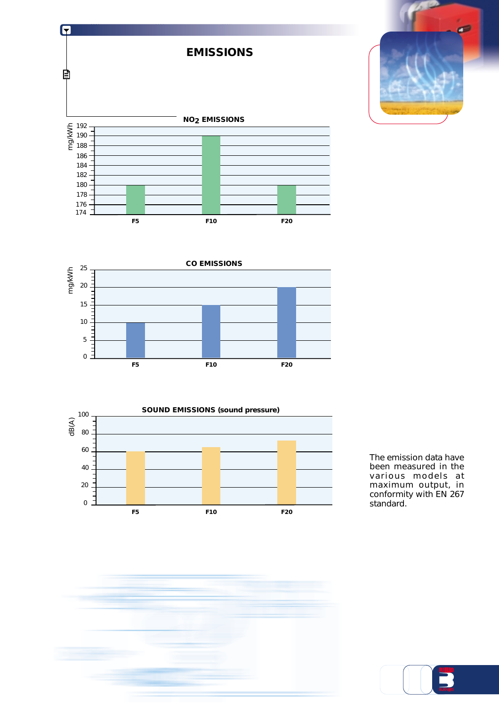







The emission data have been measured in the various models at maximum output, in conformity with EN 267 standard.



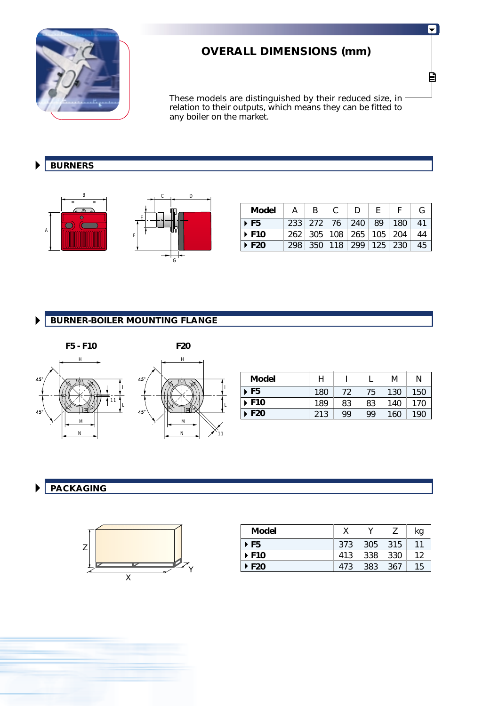

# **OVERALL DIMENSIONS (mm)**

These models are distinguished by their reduced size, in relation to their outputs, which means they can be fitted to any boiler on the market.

### **BURNERS**  $\blacktriangleright$





L

I

| <b>Model</b>         | <sub>R</sub> | C. | Ð                                 | E |     |    |
|----------------------|--------------|----|-----------------------------------|---|-----|----|
| $\triangleright$ F5  |              |    | 233 272 76 240 89                 |   | 180 | 41 |
| $\triangleright$ F10 |              |    | 262   305   108   265   105   204 |   |     | 44 |
| $\triangleright$ F20 |              |    | 298   350   118   299   125   230 |   |     | 45 |

### **BURNER-BOILER MOUNTING FLANGE**  $\blacktriangleright$



| <b>Model</b>              | Н   |    |    | М   | N   |
|---------------------------|-----|----|----|-----|-----|
| $\triangleright$ F5       | 180 | 72 | 75 | 130 | 150 |
| ▶ F10                     | 189 | 83 | 83 | 140 | 170 |
| $\blacktriangleright$ F20 | 213 | QQ | 99 | 160 | 190 |

### **PACKAGING**  $\blacktriangleright$



| <b>Model</b>              |     |     |     | kq |
|---------------------------|-----|-----|-----|----|
| $\triangleright$ F5       | 373 | 305 | 315 | 11 |
| $\triangleright$ F10      | 413 | 338 | 330 | 12 |
| $\blacktriangleright$ F20 | 473 | 383 | 367 | 15 |

5

圁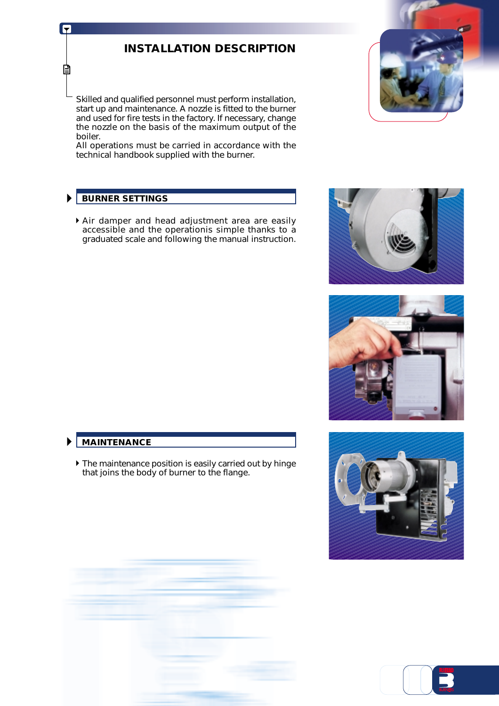# **INSTALLATION DESCRIPTION**

Skilled and qualified personnel must perform installation, start up and maintenance. A nozzle is fitted to the burner and used for fire tests in the factory. If necessary, change the nozzle on the basis of the maximum output of the boiler.

All operations must be carried in accordance with the technical handbook supplied with the burner.

# **BURNER SETTINGS**

F

目

Air damper and head adjustment area are easily accessible and the operationis simple thanks to a graduated scale and following the manual instruction.









# **MAINTENANCE**

 $\blacktriangleright$ 

 $\blacktriangleright$  The maintenance position is easily carried out by hinge that joins the body of burner to the flange.

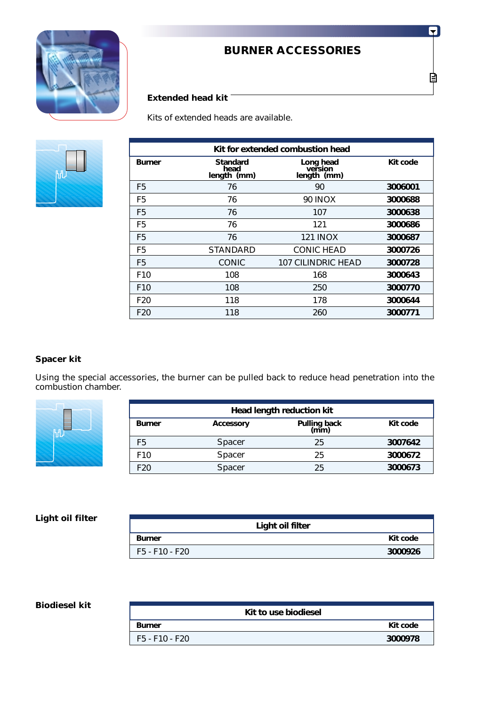

# **BURNER ACCESSORIES**

# **Extended head kit**

Kits of extended heads are available.



|                 | Kit for extended combustion head       |                                     |          |  |  |  |
|-----------------|----------------------------------------|-------------------------------------|----------|--|--|--|
| <b>Burner</b>   | <b>Standard</b><br>head<br>length (mm) | Long head<br>version<br>length (mm) | Kit code |  |  |  |
| F5              | 76                                     | 90                                  | 3006001  |  |  |  |
| F <sub>5</sub>  | 76                                     | <b>90 INOX</b>                      | 3000688  |  |  |  |
| F5              | 76                                     | 107                                 | 3000638  |  |  |  |
| F <sub>5</sub>  | 76                                     | 121                                 | 3000686  |  |  |  |
| F5              | 76                                     | <b>121 INOX</b>                     | 3000687  |  |  |  |
| F5              | <b>STANDARD</b>                        | <b>CONIC HEAD</b>                   | 3000726  |  |  |  |
| F5              | <b>CONIC</b>                           | 107 CILINDRIC HEAD                  | 3000728  |  |  |  |
| F <sub>10</sub> | 108                                    | 168                                 | 3000643  |  |  |  |
| F <sub>10</sub> | 108                                    | 250                                 | 3000770  |  |  |  |
| F <sub>20</sub> | 118                                    | 178                                 | 3000644  |  |  |  |
| F <sub>20</sub> | 118                                    | 260                                 | 3000771  |  |  |  |

## **Spacer kit**

Using the special accessories, the burner can be pulled back to reduce head penetration into the combustion chamber.



| Head length reduction kit |                  |                      |          |  |  |  |
|---------------------------|------------------|----------------------|----------|--|--|--|
| <b>Burner</b>             | <b>Accessory</b> | Pulling back<br>(mm) | Kit code |  |  |  |
| F <sub>5</sub>            | Spacer           | 25                   | 3007642  |  |  |  |
| F <sub>10</sub>           | Spacer           | 25                   | 3000672  |  |  |  |
| F <sub>20</sub>           | Spacer           | 25                   | 3000673  |  |  |  |

## **Light oil filter**

|                | Light oil filter |
|----------------|------------------|
| <b>Burner</b>  | Kit code         |
| F5 - F10 - F20 | 3000926          |

### **Biodiesel kit**

| Kit to use biodiesel |          |
|----------------------|----------|
| <b>Burner</b>        | Kit code |
| F5 - F10 - F20       | 3000978  |

6

₿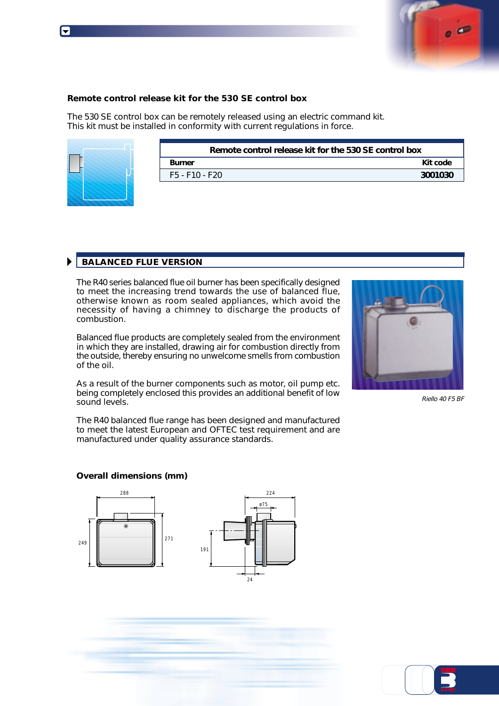

### **Remote control release kit for the 530 SE control box**

The 530 SE control box can be remotely released using an electric command kit. This kit must be installed in conformity with current regulations in force.



| Remote control release kit for the 530 SE control box |          |  |  |
|-------------------------------------------------------|----------|--|--|
| <b>Burner</b>                                         | Kit code |  |  |
| F5 - F10 - F20                                        | 3001030  |  |  |

# **BALANCED FLUE VERSION**

The R40 series balanced flue oil burner has been specifically designed to meet the increasing trend towards the use of balanced flue, otherwise known as room sealed appliances, which avoid the necessity of having a chimney to discharge the products of combustion.

Balanced flue products are completely sealed from the environment in which they are installed, drawing air for combustion directly from the outside, thereby ensuring no unwelcome smells from combustion of the oil.

As a result of the burner components such as motor, oil pump etc. being completely enclosed this provides an additional benefit of low sound levels.

Riello 40 F5 BF

The R40 balanced flue range has been designed and manufactured to meet the latest European and OFTEC test requirement and are manufactured under quality assurance standards.

### **Overall dimensions (mm)**





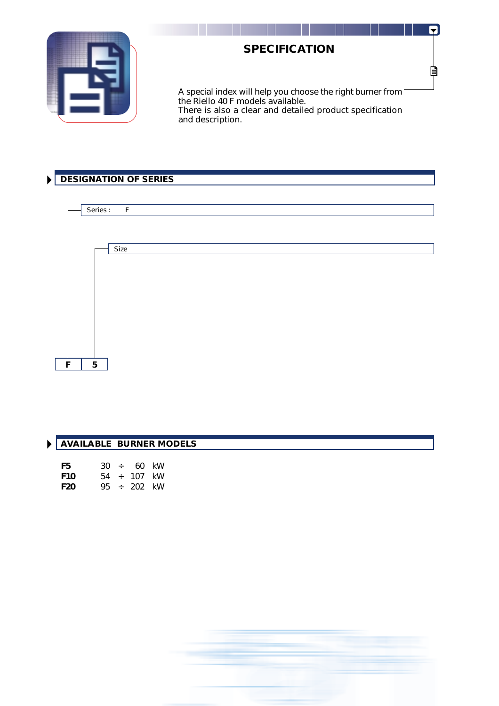

# **SPECIFICATION**

 $\mathbf{r}$ 

È

A special index will help you choose the right burner from the Riello 40 F models available. There is also a clear and detailed product specification and description.

# **DESIGNATION OF SERIES**



| I AVAILABLE BURNER MODELS |
|---------------------------|
|                           |

| F5. |  | $30 \div 60$ kW  |  |
|-----|--|------------------|--|
| F10 |  | $54 \div 107$ kW |  |
| F20 |  | 95 ÷ 202 kW      |  |

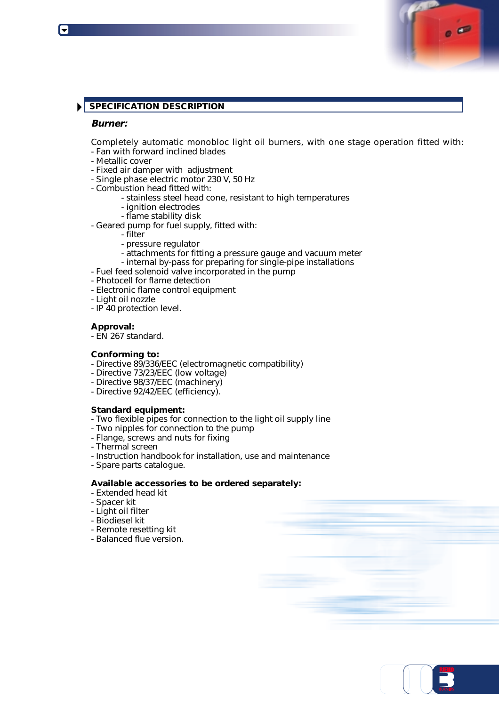## **SPECIFICATION DESCRIPTION**

### **Burner:**

Completely automatic monobloc light oil burners, with one stage operation fitted with:

- Fan with forward inclined blades
- Metallic cover
- Fixed air damper with adjustment
- Single phase electric motor 230 V, 50 Hz
- Combustion head fitted with:
	- stainless steel head cone, resistant to high temperatures
	- ignition electrodes
	- flame stability disk
- Geared pump for fuel supply, fitted with:
	- filter
	- pressure regulator
	- attachments for fitting a pressure gauge and vacuum meter
	- internal by-pass for preparing for single-pipe installations
- Fuel feed solenoid valve incorporated in the pump
- Photocell for flame detection
- Electronic flame control equipment
- Light oil nozzle
- IP 40 protection level.

### **Approval:**

- EN 267 standard.

### **Conforming to:**

- Directive 89/336/EEC (electromagnetic compatibility)
- Directive 73/23/EEC (low voltage)
- Directive 98/37/EEC (machinery)
- Directive 92/42/EEC (efficiency).

### **Standard equipment:**

- Two flexible pipes for connection to the light oil supply line
- Two nipples for connection to the pump
- Flange, screws and nuts for fixing
- Thermal screen
- Instruction handbook for installation, use and maintenance
- Spare parts catalogue.

### **Available accessories to be ordered separately:**

- Extended head kit
- Spacer kit
- Light oil filter
- Biodiesel kit
- Remote resetting kit
- Balanced flue version.